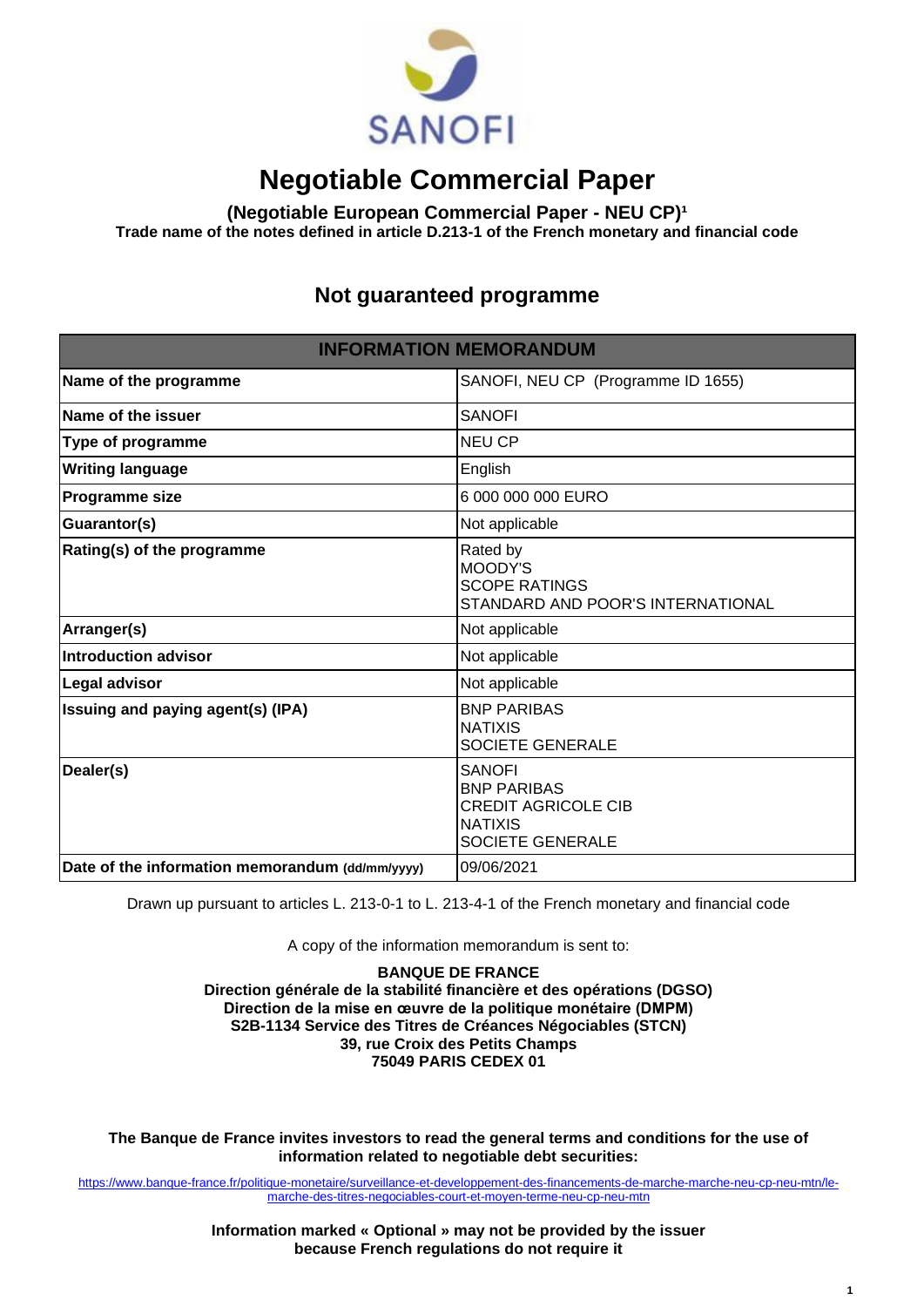

# **Negotiable Commercial Paper**

### **(Negotiable European Commercial Paper - NEU CP)<sup>1</sup>**

**Trade name of the notes defined in article D.213-1 of the French monetary and financial code**

# **Not guaranteed programme**

| <b>INFORMATION MEMORANDUM</b>                   |                                                                                                         |  |
|-------------------------------------------------|---------------------------------------------------------------------------------------------------------|--|
| Name of the programme                           | SANOFI, NEU CP (Programme ID 1655)                                                                      |  |
| Name of the issuer                              | <b>SANOFI</b>                                                                                           |  |
| Type of programme                               | <b>NEU CP</b>                                                                                           |  |
| <b>Writing language</b>                         | English                                                                                                 |  |
| <b>Programme size</b>                           | 6 000 000 000 EURO                                                                                      |  |
| Guarantor(s)                                    | Not applicable                                                                                          |  |
| <b>Rating(s) of the programme</b>               | Rated by<br>MOODY'S<br><b>SCOPE RATINGS</b><br>STANDARD AND POOR'S INTERNATIONAL                        |  |
| Arranger(s)                                     | Not applicable                                                                                          |  |
| <b>Introduction advisor</b>                     | Not applicable                                                                                          |  |
| <b>Legal advisor</b>                            | Not applicable                                                                                          |  |
| <b>Issuing and paying agent(s) (IPA)</b>        | <b>BNP PARIBAS</b><br><b>NATIXIS</b><br><b>SOCIETE GENERALE</b>                                         |  |
| Dealer(s)                                       | <b>SANOFI</b><br><b>BNP PARIBAS</b><br><b>CREDIT AGRICOLE CIB</b><br><b>NATIXIS</b><br>SOCIETE GENERALE |  |
| Date of the information memorandum (dd/mm/yyyy) | 09/06/2021                                                                                              |  |

Drawn up pursuant to articles L. 213-0-1 to L. 213-4-1 of the French monetary and financial code

A copy of the information memorandum is sent to:

**BANQUE DE FRANCE Direction générale de la stabilité financière et des opérations (DGSO) Direction de la mise en œuvre de la politique monétaire (DMPM) S2B-1134 Service des Titres de Créances Négociables (STCN) 39, rue Croix des Petits Champs 75049 PARIS CEDEX 01**

**The Banque de France invites investors to read the general terms and conditions for the use of information related to negotiable debt securities:**

[https://www.banque-france.fr/politique-monetaire/surveillance-et-developpement-des-financements-de-marche-marche-neu-cp-neu-mtn/le](https://www.banque-france.fr/politique-monetaire/surveillance-et-developpement-des-financements-de-marche-marche-neu-cp-neu-mtn/le-marche-des-titres-negociables-court-et-moyen-terme-neu-cp-neu-mtn)[marche-des-titres-negociables-court-et-moyen-terme-neu-cp-neu-mtn](https://www.banque-france.fr/politique-monetaire/surveillance-et-developpement-des-financements-de-marche-marche-neu-cp-neu-mtn/le-marche-des-titres-negociables-court-et-moyen-terme-neu-cp-neu-mtn)

> **Information marked « Optional [» may not be provided by the issuer](https://www.banque-france.fr/politique-monetaire/surveillance-et-developpement-des-financements-de-marche-marche-neu-cp-neu-mtn/le-marche-des-titres-negociables-court-et-moyen-terme-neu-cp-neu-mtn) [because French regulations do not require it](https://www.banque-france.fr/politique-monetaire/surveillance-et-developpement-des-financements-de-marche-marche-neu-cp-neu-mtn/le-marche-des-titres-negociables-court-et-moyen-terme-neu-cp-neu-mtn)**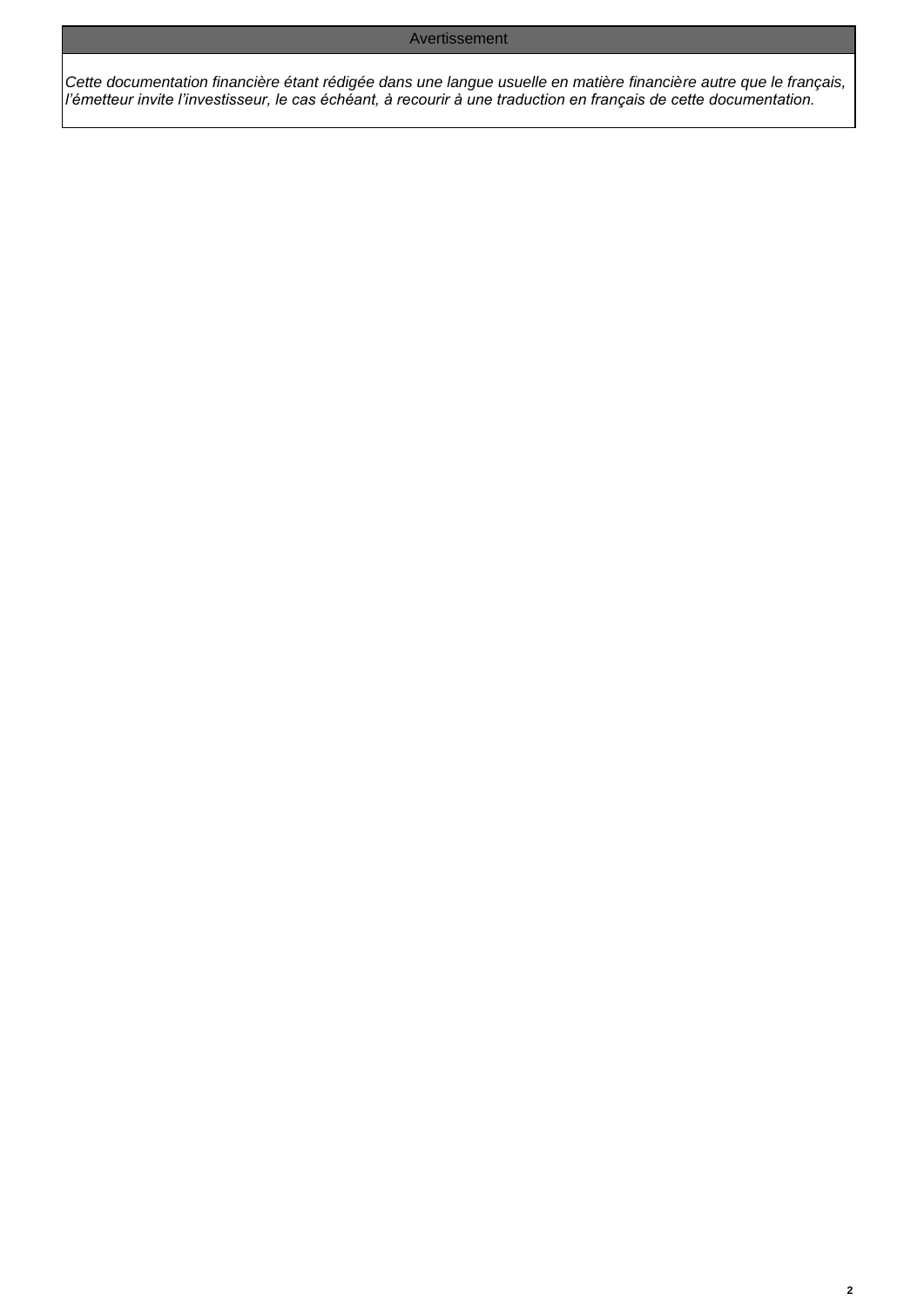#### Avertissement

*Cette documentation financière étant rédigée dans une langue usuelle en matière financière autre que le français, l'émetteur invite l'investisseur, le cas échéant, à recourir à une traduction en français de cette documentation.*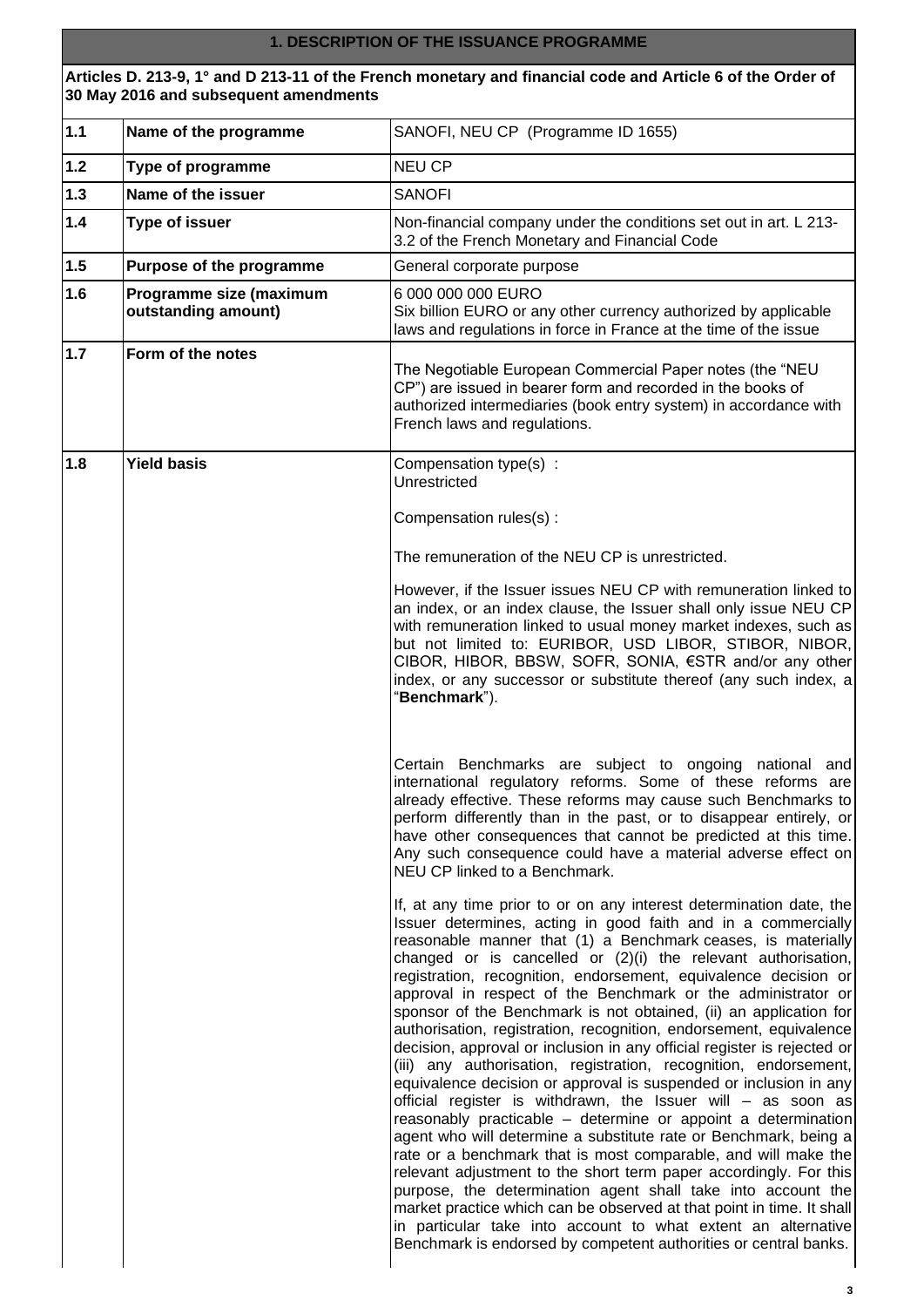#### **1. DESCRIPTION OF THE ISSUANCE PROGRAMME**

**Articles D. 213-9, 1° and D 213-11 of the French monetary and financial code and Article 6 of the Order of 30 May 2016 and subsequent amendments 1.1 Name of the programme** SANOFI, NEU CP (Programme ID 1655) **1.2 Type of programme** NEU CP **1.3 Name of the issuer** SANOFI **1.4 Type of issuer Type of issuer** Non-financial company under the conditions set out in art. L 213-3.2 of the French Monetary and Financial Code **1.5 Purpose of the programme General corporate purpose 1.6 Programme size (maximum outstanding amount)** 6 000 000 000 EURO Six billion EURO or any other currency authorized by applicable laws and regulations in force in France at the time of the issue **1.7 Form of the notes** The Negotiable European Commercial Paper notes (the "NEU CP") are issued in bearer form and recorded in the books of authorized intermediaries (book entry system) in accordance with French laws and regulations. **1.8 Yield basis Compensation type(s)** : Unrestricted Compensation rules(s) : The remuneration of the NEU CP is unrestricted. However, if the Issuer issues NEU CP with remuneration linked to an index, or an index clause, the Issuer shall only issue NEU CP with remuneration linked to usual money market indexes, such as but not limited to: EURIBOR, USD LIBOR, STIBOR, NIBOR, CIBOR, HIBOR, BBSW, SOFR, SONIA, €STR and/or any other index, or any successor or substitute thereof (any such index, a "**Benchmark**"). Certain Benchmarks are subject to ongoing national and international regulatory reforms. Some of these reforms are already effective. These reforms may cause such Benchmarks to perform differently than in the past, or to disappear entirely, or have other consequences that cannot be predicted at this time. Any such consequence could have a material adverse effect on NEU CP linked to a Benchmark. If, at any time prior to or on any interest determination date, the Issuer determines, acting in good faith and in a commercially reasonable manner that (1) a Benchmark ceases, is materially changed or is cancelled or (2)(i) the relevant authorisation, registration, recognition, endorsement, equivalence decision or approval in respect of the Benchmark or the administrator or sponsor of the Benchmark is not obtained, (ii) an application for authorisation, registration, recognition, endorsement, equivalence decision, approval or inclusion in any official register is rejected or (iii) any authorisation, registration, recognition, endorsement, equivalence decision or approval is suspended or inclusion in any official register is withdrawn, the Issuer will – as soon as reasonably practicable – determine or appoint a determination agent who will determine a substitute rate or Benchmark, being a rate or a benchmark that is most comparable, and will make the relevant adjustment to the short term paper accordingly. For this purpose, the determination agent shall take into account the market practice which can be observed at that point in time. It shall in particular take into account to what extent an alternative Benchmark is endorsed by competent authorities or central banks.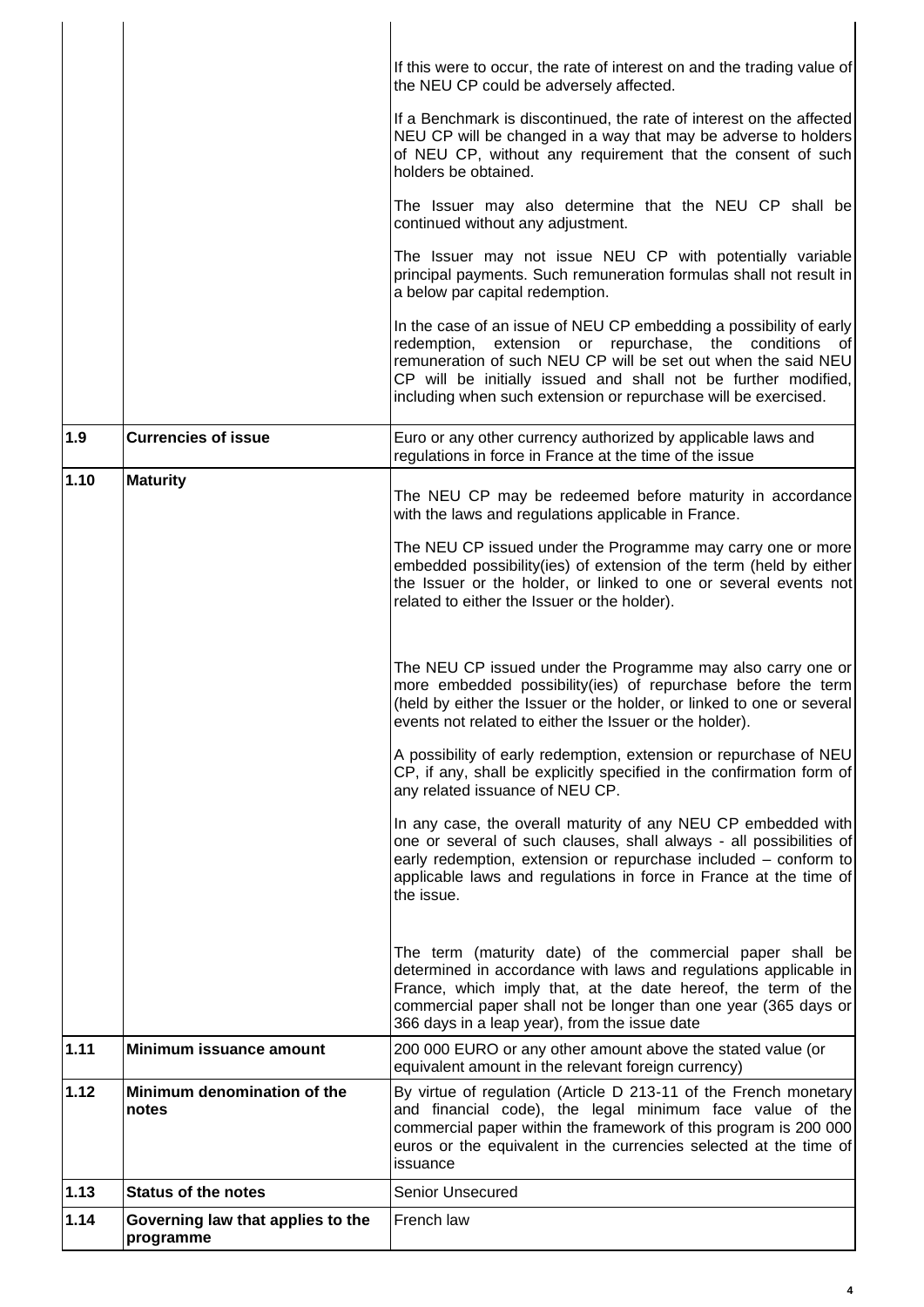|      |                                                | If this were to occur, the rate of interest on and the trading value of<br>the NEU CP could be adversely affected.                                                                                                                                                                                                                   |
|------|------------------------------------------------|--------------------------------------------------------------------------------------------------------------------------------------------------------------------------------------------------------------------------------------------------------------------------------------------------------------------------------------|
|      |                                                | If a Benchmark is discontinued, the rate of interest on the affected<br>NEU CP will be changed in a way that may be adverse to holders<br>of NEU CP, without any requirement that the consent of such<br>holders be obtained.                                                                                                        |
|      |                                                | The Issuer may also determine that the NEU CP shall be<br>continued without any adjustment.                                                                                                                                                                                                                                          |
|      |                                                | The Issuer may not issue NEU CP with potentially variable<br>principal payments. Such remuneration formulas shall not result in<br>a below par capital redemption.                                                                                                                                                                   |
|      |                                                | In the case of an issue of NEU CP embedding a possibility of early<br>redemption, extension or repurchase, the conditions<br>of<br>remuneration of such NEU CP will be set out when the said NEU<br>CP will be initially issued and shall not be further modified,<br>including when such extension or repurchase will be exercised. |
| 1.9  | <b>Currencies of issue</b>                     | Euro or any other currency authorized by applicable laws and<br>regulations in force in France at the time of the issue                                                                                                                                                                                                              |
| 1.10 | <b>Maturity</b>                                | The NEU CP may be redeemed before maturity in accordance<br>with the laws and regulations applicable in France.                                                                                                                                                                                                                      |
|      |                                                | The NEU CP issued under the Programme may carry one or more<br>embedded possibility (ies) of extension of the term (held by either<br>the Issuer or the holder, or linked to one or several events not<br>related to either the Issuer or the holder).                                                                               |
|      |                                                | The NEU CP issued under the Programme may also carry one or<br>more embedded possibility(ies) of repurchase before the term<br>(held by either the Issuer or the holder, or linked to one or several<br>events not related to either the Issuer or the holder).                                                                      |
|      |                                                | A possibility of early redemption, extension or repurchase of NEU<br>CP, if any, shall be explicitly specified in the confirmation form of<br>any related issuance of NEU CP.                                                                                                                                                        |
|      |                                                | In any case, the overall maturity of any NEU CP embedded with<br>one or several of such clauses, shall always - all possibilities of<br>early redemption, extension or repurchase included - conform to<br>applicable laws and regulations in force in France at the time of<br>the issue.                                           |
|      |                                                | The term (maturity date) of the commercial paper shall be<br>determined in accordance with laws and regulations applicable in<br>France, which imply that, at the date hereof, the term of the<br>commercial paper shall not be longer than one year (365 days or<br>366 days in a leap year), from the issue date                   |
| 1.11 | Minimum issuance amount                        | 200 000 EURO or any other amount above the stated value (or<br>equivalent amount in the relevant foreign currency)                                                                                                                                                                                                                   |
| 1.12 | Minimum denomination of the<br>notes           | By virtue of regulation (Article D 213-11 of the French monetary<br>and financial code), the legal minimum face value of the<br>commercial paper within the framework of this program is 200 000<br>euros or the equivalent in the currencies selected at the time of<br>issuance                                                    |
| 1.13 | <b>Status of the notes</b>                     | <b>Senior Unsecured</b>                                                                                                                                                                                                                                                                                                              |
| 1.14 | Governing law that applies to the<br>programme | French law                                                                                                                                                                                                                                                                                                                           |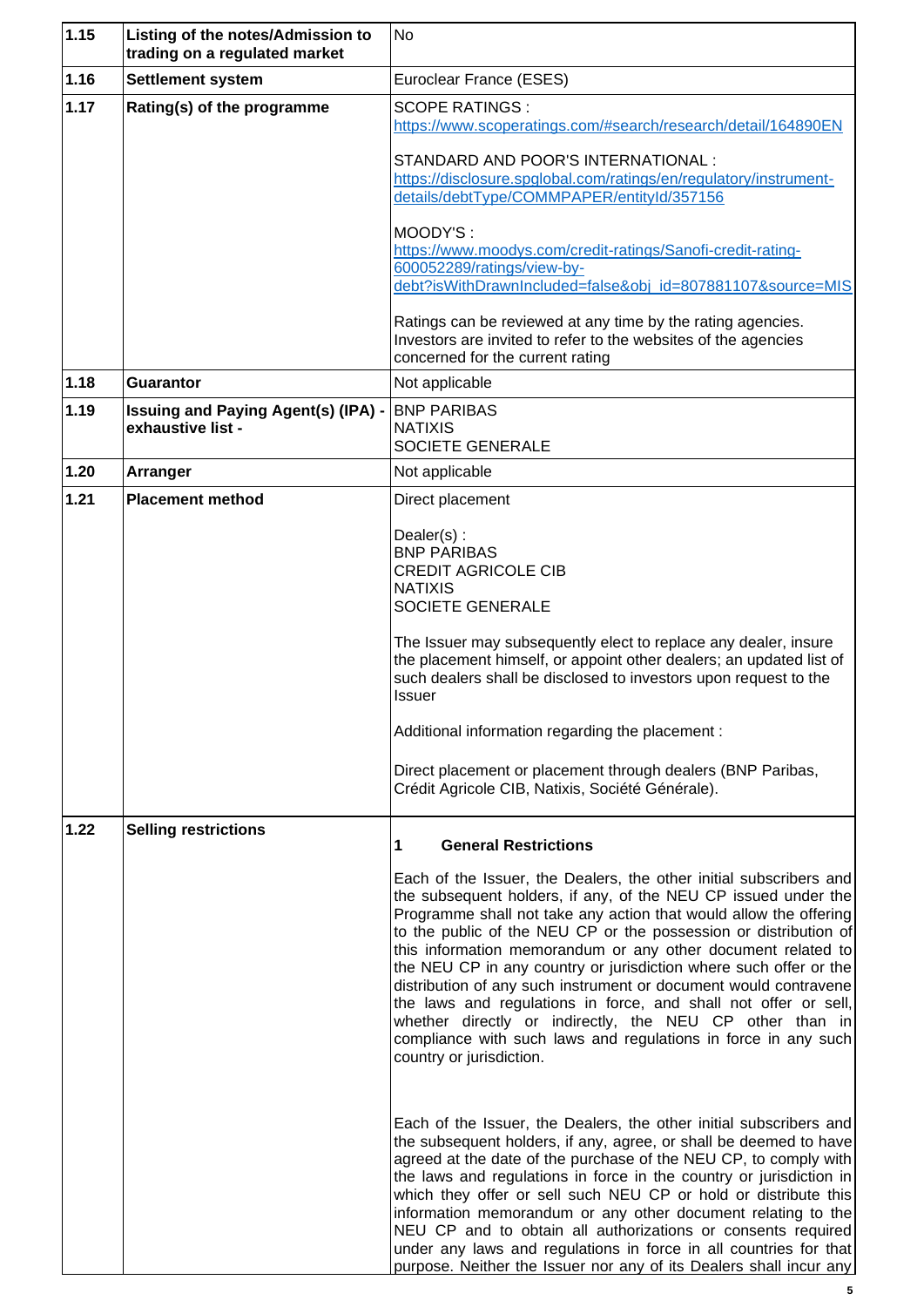| 1.15 | Listing of the notes/Admission to<br>trading on a regulated market | <b>No</b>                                                                                                                                                                                                                                                                                                                                                                                                                                                                                                                                                                                                                                                                                                           |
|------|--------------------------------------------------------------------|---------------------------------------------------------------------------------------------------------------------------------------------------------------------------------------------------------------------------------------------------------------------------------------------------------------------------------------------------------------------------------------------------------------------------------------------------------------------------------------------------------------------------------------------------------------------------------------------------------------------------------------------------------------------------------------------------------------------|
| 1.16 | <b>Settlement system</b>                                           | Euroclear France (ESES)                                                                                                                                                                                                                                                                                                                                                                                                                                                                                                                                                                                                                                                                                             |
| 1.17 | Rating(s) of the programme                                         | <b>SCOPE RATINGS:</b><br>https://www.scoperatings.com/#search/research/detail/164890EN                                                                                                                                                                                                                                                                                                                                                                                                                                                                                                                                                                                                                              |
|      |                                                                    | STANDARD AND POOR'S INTERNATIONAL:<br>https://disclosure.spglobal.com/ratings/en/regulatory/instrument-<br>details/debtType/COMMPAPER/entityId/357156                                                                                                                                                                                                                                                                                                                                                                                                                                                                                                                                                               |
|      |                                                                    | MOODY'S:<br>https://www.moodys.com/credit-ratings/Sanofi-credit-rating-<br>600052289/ratings/view-by-<br>debt?isWithDrawnIncluded=false&obj_id=807881107&source=MIS                                                                                                                                                                                                                                                                                                                                                                                                                                                                                                                                                 |
|      |                                                                    | Ratings can be reviewed at any time by the rating agencies.<br>Investors are invited to refer to the websites of the agencies<br>concerned for the current rating                                                                                                                                                                                                                                                                                                                                                                                                                                                                                                                                                   |
| 1.18 | <b>Guarantor</b>                                                   | Not applicable                                                                                                                                                                                                                                                                                                                                                                                                                                                                                                                                                                                                                                                                                                      |
| 1.19 | <b>Issuing and Paying Agent(s) (IPA) -</b><br>exhaustive list -    | <b>BNP PARIBAS</b><br><b>NATIXIS</b><br><b>SOCIETE GENERALE</b>                                                                                                                                                                                                                                                                                                                                                                                                                                                                                                                                                                                                                                                     |
| 1.20 | Arranger                                                           | Not applicable                                                                                                                                                                                                                                                                                                                                                                                                                                                                                                                                                                                                                                                                                                      |
| 1.21 | <b>Placement method</b>                                            | Direct placement                                                                                                                                                                                                                                                                                                                                                                                                                                                                                                                                                                                                                                                                                                    |
|      |                                                                    | Dealer(s):<br><b>BNP PARIBAS</b><br><b>CREDIT AGRICOLE CIB</b><br><b>NATIXIS</b><br><b>SOCIETE GENERALE</b><br>The Issuer may subsequently elect to replace any dealer, insure<br>the placement himself, or appoint other dealers; an updated list of<br>such dealers shall be disclosed to investors upon request to the<br><b>Issuer</b><br>Additional information regarding the placement:<br>Direct placement or placement through dealers (BNP Paribas,<br>Crédit Agricole CIB, Natixis, Société Générale).                                                                                                                                                                                                    |
| 1.22 | <b>Selling restrictions</b>                                        | <b>General Restrictions</b><br>1                                                                                                                                                                                                                                                                                                                                                                                                                                                                                                                                                                                                                                                                                    |
|      |                                                                    | Each of the Issuer, the Dealers, the other initial subscribers and<br>the subsequent holders, if any, of the NEU CP issued under the<br>Programme shall not take any action that would allow the offering<br>to the public of the NEU CP or the possession or distribution of<br>this information memorandum or any other document related to<br>the NEU CP in any country or jurisdiction where such offer or the<br>distribution of any such instrument or document would contravene<br>the laws and regulations in force, and shall not offer or sell,<br>whether directly or indirectly, the NEU CP other than in<br>compliance with such laws and regulations in force in any such<br>country or jurisdiction. |
|      |                                                                    | Each of the Issuer, the Dealers, the other initial subscribers and<br>the subsequent holders, if any, agree, or shall be deemed to have<br>agreed at the date of the purchase of the NEU CP, to comply with<br>the laws and regulations in force in the country or jurisdiction in<br>which they offer or sell such NEU CP or hold or distribute this<br>information memorandum or any other document relating to the<br>NEU CP and to obtain all authorizations or consents required<br>under any laws and regulations in force in all countries for that<br>purpose. Neither the Issuer nor any of its Dealers shall incur any                                                                                    |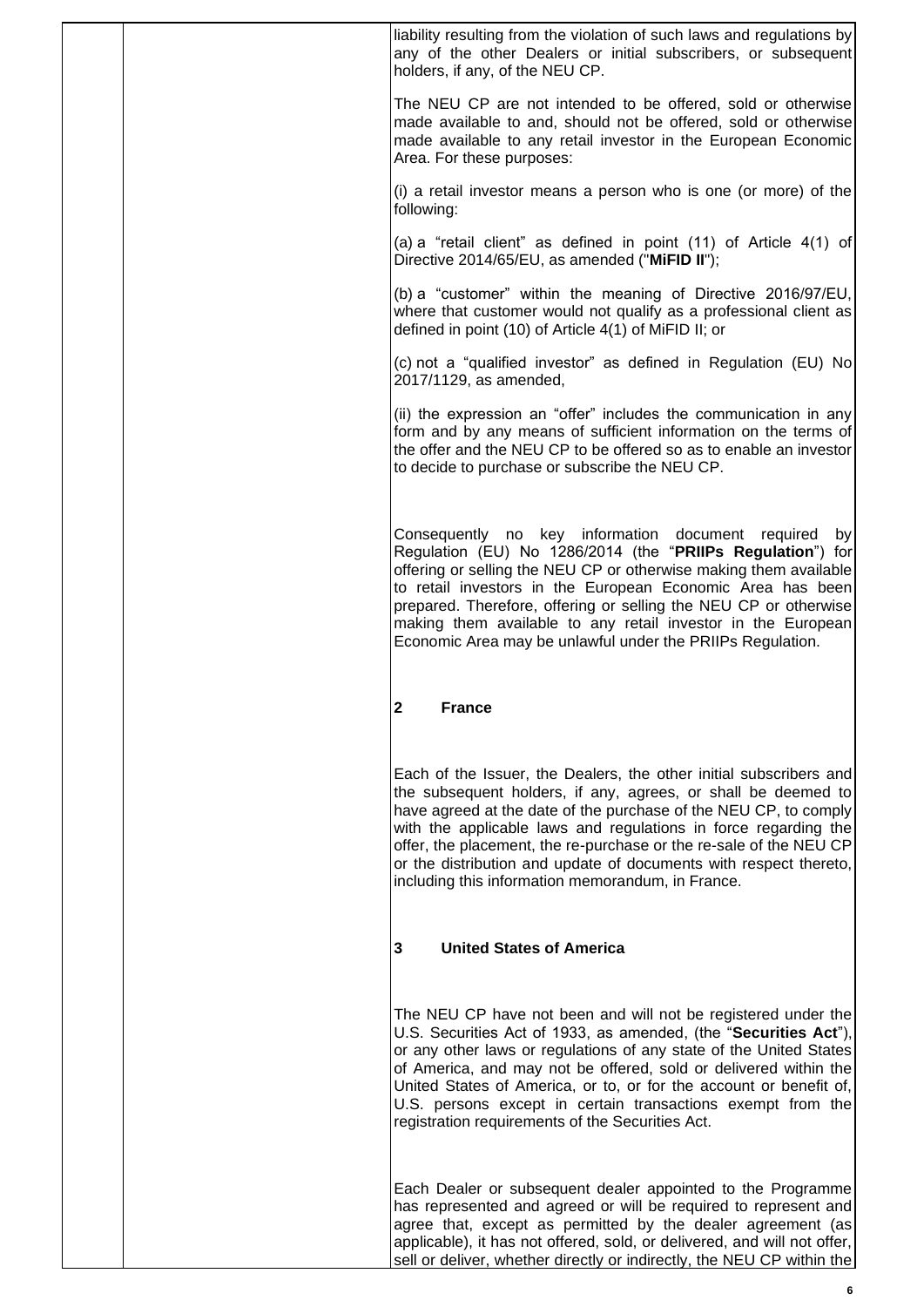|  | liability resulting from the violation of such laws and regulations by<br>any of the other Dealers or initial subscribers, or subsequent<br>holders, if any, of the NEU CP.                                                                                                                                                                                                                                                                                                |
|--|----------------------------------------------------------------------------------------------------------------------------------------------------------------------------------------------------------------------------------------------------------------------------------------------------------------------------------------------------------------------------------------------------------------------------------------------------------------------------|
|  | The NEU CP are not intended to be offered, sold or otherwise<br>made available to and, should not be offered, sold or otherwise<br>made available to any retail investor in the European Economic<br>Area. For these purposes:                                                                                                                                                                                                                                             |
|  | (i) a retail investor means a person who is one (or more) of the<br>following:                                                                                                                                                                                                                                                                                                                                                                                             |
|  | (a) a "retail client" as defined in point $(11)$ of Article $4(1)$ of<br>Directive 2014/65/EU, as amended ("MiFID II");                                                                                                                                                                                                                                                                                                                                                    |
|  | (b) a "customer" within the meaning of Directive 2016/97/EU,<br>where that customer would not qualify as a professional client as<br>defined in point (10) of Article 4(1) of MiFID II; or                                                                                                                                                                                                                                                                                 |
|  | (c) not a "qualified investor" as defined in Regulation (EU) No<br>2017/1129, as amended,                                                                                                                                                                                                                                                                                                                                                                                  |
|  | (ii) the expression an "offer" includes the communication in any<br>form and by any means of sufficient information on the terms of<br>the offer and the NEU CP to be offered so as to enable an investor<br>to decide to purchase or subscribe the NEU CP.                                                                                                                                                                                                                |
|  | Consequently no key information document required<br>by<br>Regulation (EU) No 1286/2014 (the "PRIIPs Regulation") for<br>offering or selling the NEU CP or otherwise making them available<br>to retail investors in the European Economic Area has been<br>prepared. Therefore, offering or selling the NEU CP or otherwise<br>making them available to any retail investor in the European<br>Economic Area may be unlawful under the PRIIPs Regulation.                 |
|  | $\boldsymbol{2}$<br><b>France</b>                                                                                                                                                                                                                                                                                                                                                                                                                                          |
|  | Each of the Issuer, the Dealers, the other initial subscribers and<br>the subsequent holders, if any, agrees, or shall be deemed to<br>have agreed at the date of the purchase of the NEU CP, to comply<br>with the applicable laws and regulations in force regarding the<br>offer, the placement, the re-purchase or the re-sale of the NEU CP<br>or the distribution and update of documents with respect thereto,<br>including this information memorandum, in France. |
|  | <b>United States of America</b><br>3                                                                                                                                                                                                                                                                                                                                                                                                                                       |
|  | The NEU CP have not been and will not be registered under the<br>U.S. Securities Act of 1933, as amended, (the "Securities Act"),<br>or any other laws or regulations of any state of the United States<br>of America, and may not be offered, sold or delivered within the<br>United States of America, or to, or for the account or benefit of,<br>U.S. persons except in certain transactions exempt from the<br>registration requirements of the Securities Act.       |
|  | Each Dealer or subsequent dealer appointed to the Programme<br>has represented and agreed or will be required to represent and<br>agree that, except as permitted by the dealer agreement (as<br>applicable), it has not offered, sold, or delivered, and will not offer,<br>sell or deliver, whether directly or indirectly, the NEU CP within the                                                                                                                        |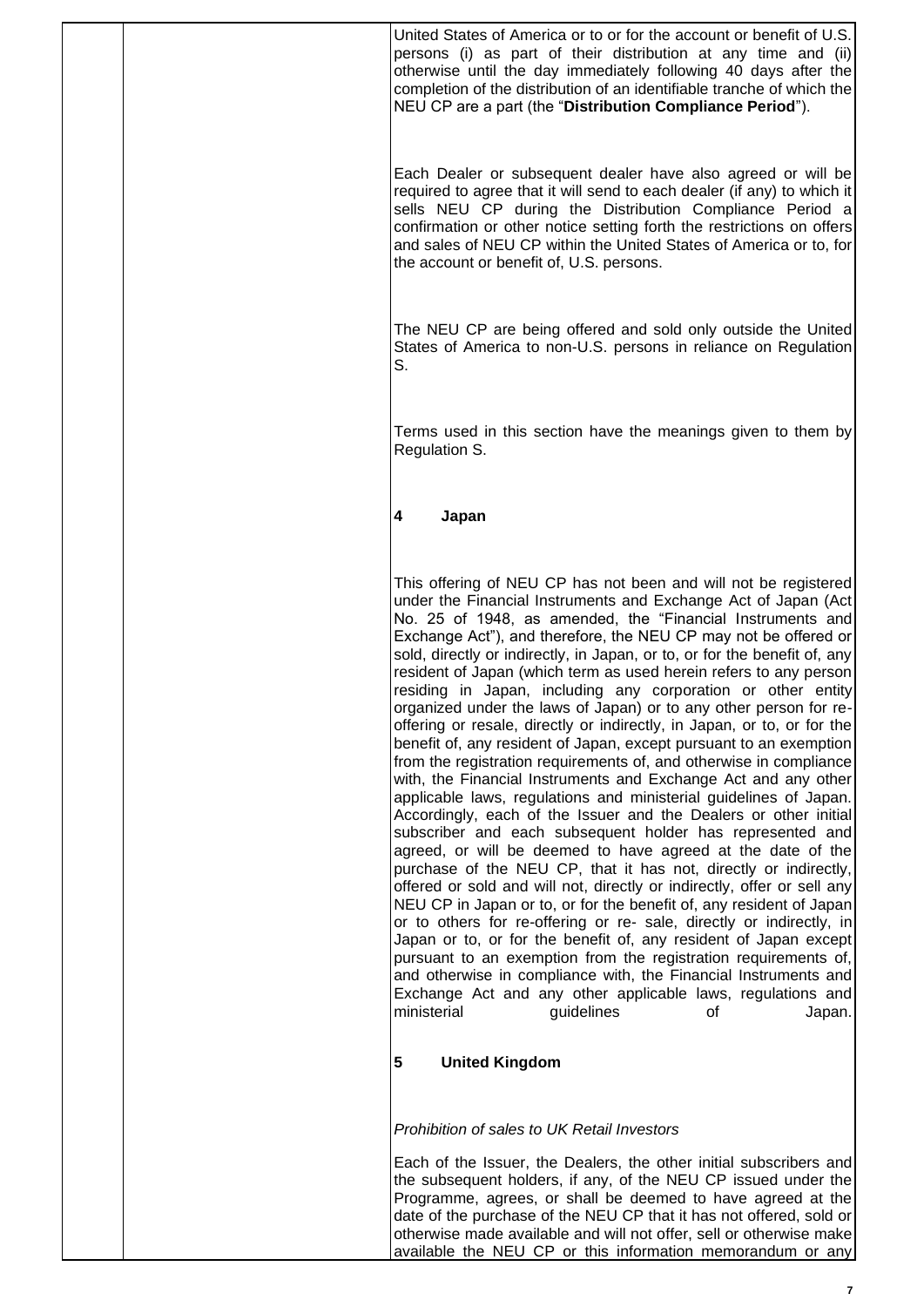| United States of America or to or for the account or benefit of U.S.<br>persons (i) as part of their distribution at any time and (ii)<br>otherwise until the day immediately following 40 days after the<br>completion of the distribution of an identifiable tranche of which the<br>NEU CP are a part (the "Distribution Compliance Period").                                                                                                                                                                                                                                                                                                                                                                                                                                                                                                                                                                                                                                                                                                                                                                                                                                                                                                                                                                                                                                                                                                                                                                                                                                                                                                                                                                                            |
|---------------------------------------------------------------------------------------------------------------------------------------------------------------------------------------------------------------------------------------------------------------------------------------------------------------------------------------------------------------------------------------------------------------------------------------------------------------------------------------------------------------------------------------------------------------------------------------------------------------------------------------------------------------------------------------------------------------------------------------------------------------------------------------------------------------------------------------------------------------------------------------------------------------------------------------------------------------------------------------------------------------------------------------------------------------------------------------------------------------------------------------------------------------------------------------------------------------------------------------------------------------------------------------------------------------------------------------------------------------------------------------------------------------------------------------------------------------------------------------------------------------------------------------------------------------------------------------------------------------------------------------------------------------------------------------------------------------------------------------------|
| Each Dealer or subsequent dealer have also agreed or will be<br>required to agree that it will send to each dealer (if any) to which it<br>sells NEU CP during the Distribution Compliance Period a<br>confirmation or other notice setting forth the restrictions on offers<br>and sales of NEU CP within the United States of America or to, for<br>the account or benefit of, U.S. persons.                                                                                                                                                                                                                                                                                                                                                                                                                                                                                                                                                                                                                                                                                                                                                                                                                                                                                                                                                                                                                                                                                                                                                                                                                                                                                                                                              |
| The NEU CP are being offered and sold only outside the United<br>States of America to non-U.S. persons in reliance on Regulation<br>S.                                                                                                                                                                                                                                                                                                                                                                                                                                                                                                                                                                                                                                                                                                                                                                                                                                                                                                                                                                                                                                                                                                                                                                                                                                                                                                                                                                                                                                                                                                                                                                                                      |
| Terms used in this section have the meanings given to them by<br>Regulation S.                                                                                                                                                                                                                                                                                                                                                                                                                                                                                                                                                                                                                                                                                                                                                                                                                                                                                                                                                                                                                                                                                                                                                                                                                                                                                                                                                                                                                                                                                                                                                                                                                                                              |
| 4<br>Japan                                                                                                                                                                                                                                                                                                                                                                                                                                                                                                                                                                                                                                                                                                                                                                                                                                                                                                                                                                                                                                                                                                                                                                                                                                                                                                                                                                                                                                                                                                                                                                                                                                                                                                                                  |
| This offering of NEU CP has not been and will not be registered<br>under the Financial Instruments and Exchange Act of Japan (Act<br>No. 25 of 1948, as amended, the "Financial Instruments and<br>Exchange Act"), and therefore, the NEU CP may not be offered or<br>sold, directly or indirectly, in Japan, or to, or for the benefit of, any<br>resident of Japan (which term as used herein refers to any person<br>residing in Japan, including any corporation or other entity<br>organized under the laws of Japan) or to any other person for re-<br>offering or resale, directly or indirectly, in Japan, or to, or for the<br>benefit of, any resident of Japan, except pursuant to an exemption<br>from the registration requirements of, and otherwise in compliance<br>with, the Financial Instruments and Exchange Act and any other<br>applicable laws, regulations and ministerial guidelines of Japan.<br>Accordingly, each of the Issuer and the Dealers or other initial<br>subscriber and each subsequent holder has represented and<br>agreed, or will be deemed to have agreed at the date of the<br>purchase of the NEU CP, that it has not, directly or indirectly,<br>offered or sold and will not, directly or indirectly, offer or sell any<br>NEU CP in Japan or to, or for the benefit of, any resident of Japan<br>or to others for re-offering or re- sale, directly or indirectly, in<br>Japan or to, or for the benefit of, any resident of Japan except<br>pursuant to an exemption from the registration requirements of,<br>and otherwise in compliance with, the Financial Instruments and<br>Exchange Act and any other applicable laws, regulations and<br>ministerial<br>guidelines<br>Japan.<br>οf |
| 5<br><b>United Kingdom</b>                                                                                                                                                                                                                                                                                                                                                                                                                                                                                                                                                                                                                                                                                                                                                                                                                                                                                                                                                                                                                                                                                                                                                                                                                                                                                                                                                                                                                                                                                                                                                                                                                                                                                                                  |
| Prohibition of sales to UK Retail Investors                                                                                                                                                                                                                                                                                                                                                                                                                                                                                                                                                                                                                                                                                                                                                                                                                                                                                                                                                                                                                                                                                                                                                                                                                                                                                                                                                                                                                                                                                                                                                                                                                                                                                                 |
| Each of the Issuer, the Dealers, the other initial subscribers and<br>the subsequent holders, if any, of the NEU CP issued under the<br>Programme, agrees, or shall be deemed to have agreed at the<br>date of the purchase of the NEU CP that it has not offered, sold or<br>otherwise made available and will not offer, sell or otherwise make                                                                                                                                                                                                                                                                                                                                                                                                                                                                                                                                                                                                                                                                                                                                                                                                                                                                                                                                                                                                                                                                                                                                                                                                                                                                                                                                                                                           |

available the NEU CP or this information memorandum or any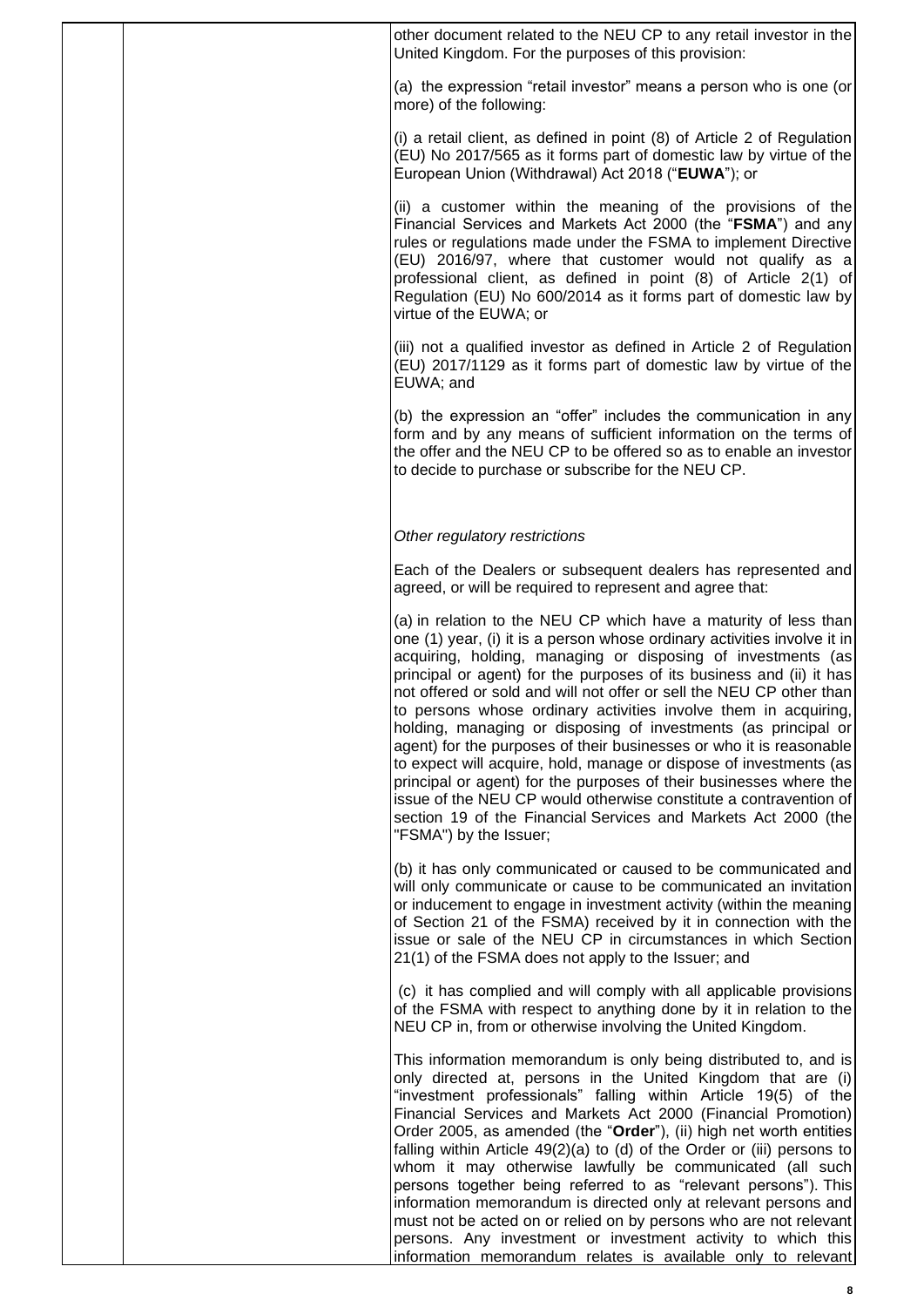|  | other document related to the NEU CP to any retail investor in the<br>United Kingdom. For the purposes of this provision:                                                                                                                                                                                                                                                                                                                                                                                                                                                                                                                                                                                                                                                                                                                                                             |
|--|---------------------------------------------------------------------------------------------------------------------------------------------------------------------------------------------------------------------------------------------------------------------------------------------------------------------------------------------------------------------------------------------------------------------------------------------------------------------------------------------------------------------------------------------------------------------------------------------------------------------------------------------------------------------------------------------------------------------------------------------------------------------------------------------------------------------------------------------------------------------------------------|
|  | (a) the expression "retail investor" means a person who is one (or<br>more) of the following:                                                                                                                                                                                                                                                                                                                                                                                                                                                                                                                                                                                                                                                                                                                                                                                         |
|  | (i) a retail client, as defined in point (8) of Article 2 of Regulation<br>(EU) No 2017/565 as it forms part of domestic law by virtue of the<br>European Union (Withdrawal) Act 2018 ("EUWA"); or                                                                                                                                                                                                                                                                                                                                                                                                                                                                                                                                                                                                                                                                                    |
|  | (ii) a customer within the meaning of the provisions of the<br>Financial Services and Markets Act 2000 (the "FSMA") and any<br>rules or regulations made under the FSMA to implement Directive<br>(EU) 2016/97, where that customer would not qualify as a<br>professional client, as defined in point (8) of Article 2(1) of<br>Regulation (EU) No 600/2014 as it forms part of domestic law by<br>virtue of the EUWA; or                                                                                                                                                                                                                                                                                                                                                                                                                                                            |
|  | (iii) not a qualified investor as defined in Article 2 of Regulation<br>(EU) 2017/1129 as it forms part of domestic law by virtue of the<br>EUWA; and                                                                                                                                                                                                                                                                                                                                                                                                                                                                                                                                                                                                                                                                                                                                 |
|  | (b) the expression an "offer" includes the communication in any<br>form and by any means of sufficient information on the terms of<br>the offer and the NEU CP to be offered so as to enable an investor<br>to decide to purchase or subscribe for the NEU CP.                                                                                                                                                                                                                                                                                                                                                                                                                                                                                                                                                                                                                        |
|  | Other regulatory restrictions                                                                                                                                                                                                                                                                                                                                                                                                                                                                                                                                                                                                                                                                                                                                                                                                                                                         |
|  | Each of the Dealers or subsequent dealers has represented and<br>agreed, or will be required to represent and agree that:                                                                                                                                                                                                                                                                                                                                                                                                                                                                                                                                                                                                                                                                                                                                                             |
|  | (a) in relation to the NEU CP which have a maturity of less than<br>one (1) year, (i) it is a person whose ordinary activities involve it in<br>acquiring, holding, managing or disposing of investments (as<br>principal or agent) for the purposes of its business and (ii) it has<br>not offered or sold and will not offer or sell the NEU CP other than<br>to persons whose ordinary activities involve them in acquiring,<br>holding, managing or disposing of investments (as principal or<br>agent) for the purposes of their businesses or who it is reasonable<br>to expect will acquire, hold, manage or dispose of investments (as<br>principal or agent) for the purposes of their businesses where the<br>issue of the NEU CP would otherwise constitute a contravention of<br>section 19 of the Financial Services and Markets Act 2000 (the<br>"FSMA") by the Issuer; |
|  | (b) it has only communicated or caused to be communicated and<br>will only communicate or cause to be communicated an invitation<br>or inducement to engage in investment activity (within the meaning<br>of Section 21 of the FSMA) received by it in connection with the<br>issue or sale of the NEU CP in circumstances in which Section<br>21(1) of the FSMA does not apply to the Issuer; and                                                                                                                                                                                                                                                                                                                                                                                                                                                                                    |
|  | (c) it has complied and will comply with all applicable provisions<br>of the FSMA with respect to anything done by it in relation to the<br>NEU CP in, from or otherwise involving the United Kingdom.                                                                                                                                                                                                                                                                                                                                                                                                                                                                                                                                                                                                                                                                                |
|  | This information memorandum is only being distributed to, and is<br>only directed at, persons in the United Kingdom that are (i)<br>"investment professionals" falling within Article 19(5) of the<br>Financial Services and Markets Act 2000 (Financial Promotion)<br>Order 2005, as amended (the "Order"), (ii) high net worth entities<br>falling within Article 49(2)(a) to (d) of the Order or (iii) persons to<br>whom it may otherwise lawfully be communicated (all such<br>persons together being referred to as "relevant persons"). This<br>information memorandum is directed only at relevant persons and<br>must not be acted on or relied on by persons who are not relevant<br>persons. Any investment or investment activity to which this<br>information memorandum relates is available only to relevant                                                           |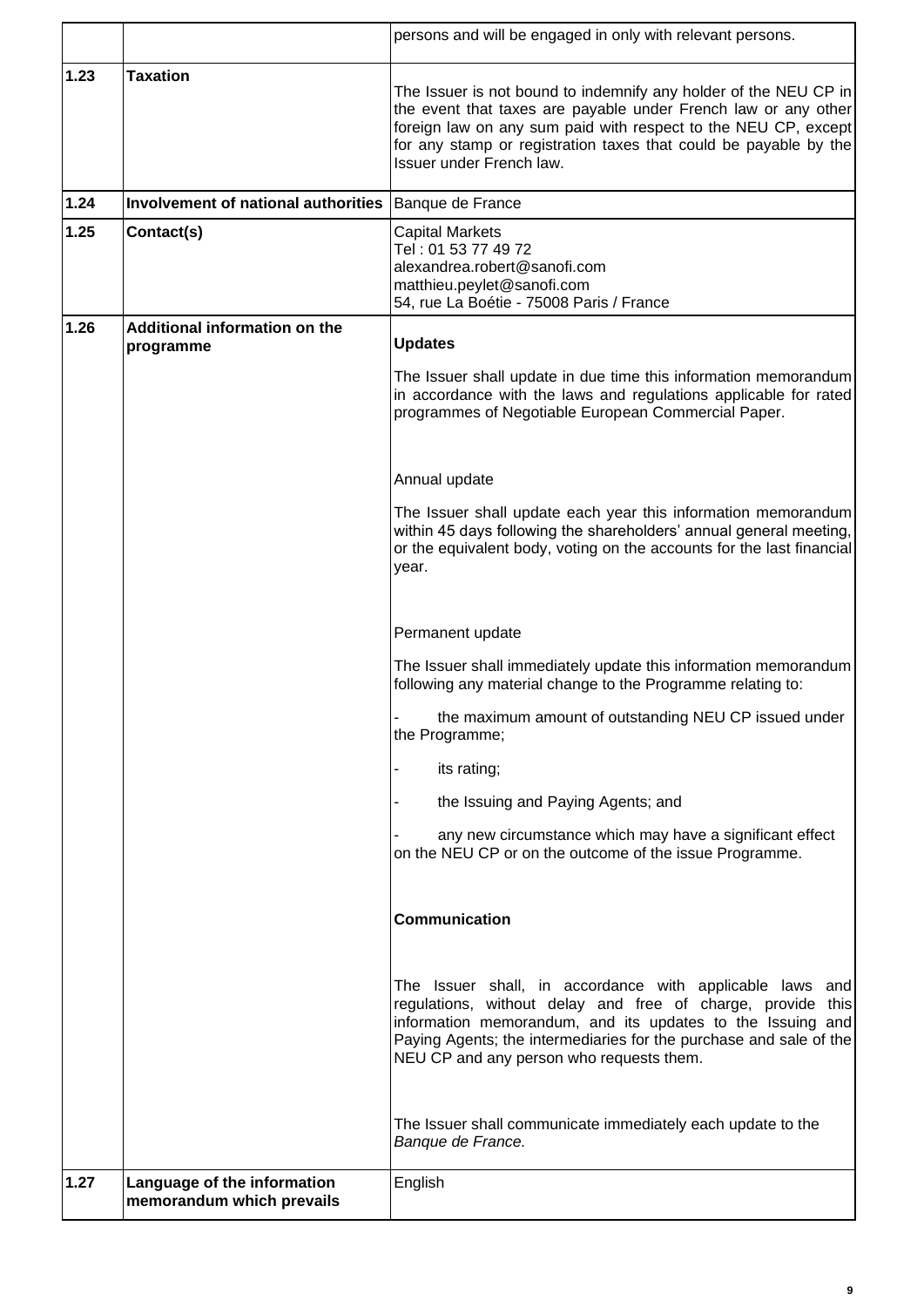|      |                                                          | persons and will be engaged in only with relevant persons.                                                                                                                                                                                                                                              |
|------|----------------------------------------------------------|---------------------------------------------------------------------------------------------------------------------------------------------------------------------------------------------------------------------------------------------------------------------------------------------------------|
| 1.23 | <b>Taxation</b>                                          | The Issuer is not bound to indemnify any holder of the NEU CP in<br>the event that taxes are payable under French law or any other<br>foreign law on any sum paid with respect to the NEU CP, except<br>for any stamp or registration taxes that could be payable by the<br>Issuer under French law.    |
| 1.24 | <b>Involvement of national authorities</b>               | Banque de France                                                                                                                                                                                                                                                                                        |
| 1.25 | Contact(s)                                               | <b>Capital Markets</b><br>Tel: 01 53 77 49 72<br>alexandrea.robert@sanofi.com<br>matthieu.peylet@sanofi.com<br>54, rue La Boétie - 75008 Paris / France                                                                                                                                                 |
| 1.26 | <b>Additional information on the</b><br>programme        | <b>Updates</b>                                                                                                                                                                                                                                                                                          |
|      |                                                          | The Issuer shall update in due time this information memorandum<br>in accordance with the laws and regulations applicable for rated<br>programmes of Negotiable European Commercial Paper.                                                                                                              |
|      |                                                          | Annual update                                                                                                                                                                                                                                                                                           |
|      |                                                          | The Issuer shall update each year this information memorandum<br>within 45 days following the shareholders' annual general meeting,<br>or the equivalent body, voting on the accounts for the last financial<br>year.                                                                                   |
|      |                                                          | Permanent update                                                                                                                                                                                                                                                                                        |
|      |                                                          | The Issuer shall immediately update this information memorandum<br>following any material change to the Programme relating to:                                                                                                                                                                          |
|      |                                                          | the maximum amount of outstanding NEU CP issued under<br>the Programme;                                                                                                                                                                                                                                 |
|      |                                                          | its rating;                                                                                                                                                                                                                                                                                             |
|      |                                                          | the Issuing and Paying Agents; and                                                                                                                                                                                                                                                                      |
|      |                                                          | any new circumstance which may have a significant effect<br>on the NEU CP or on the outcome of the issue Programme.                                                                                                                                                                                     |
|      |                                                          | <b>Communication</b>                                                                                                                                                                                                                                                                                    |
|      |                                                          | The Issuer shall, in accordance with applicable laws and<br>regulations, without delay and free of charge, provide this<br>information memorandum, and its updates to the Issuing and<br>Paying Agents; the intermediaries for the purchase and sale of the<br>NEU CP and any person who requests them. |
|      |                                                          | The Issuer shall communicate immediately each update to the<br>Banque de France.                                                                                                                                                                                                                        |
| 1.27 | Language of the information<br>memorandum which prevails | English                                                                                                                                                                                                                                                                                                 |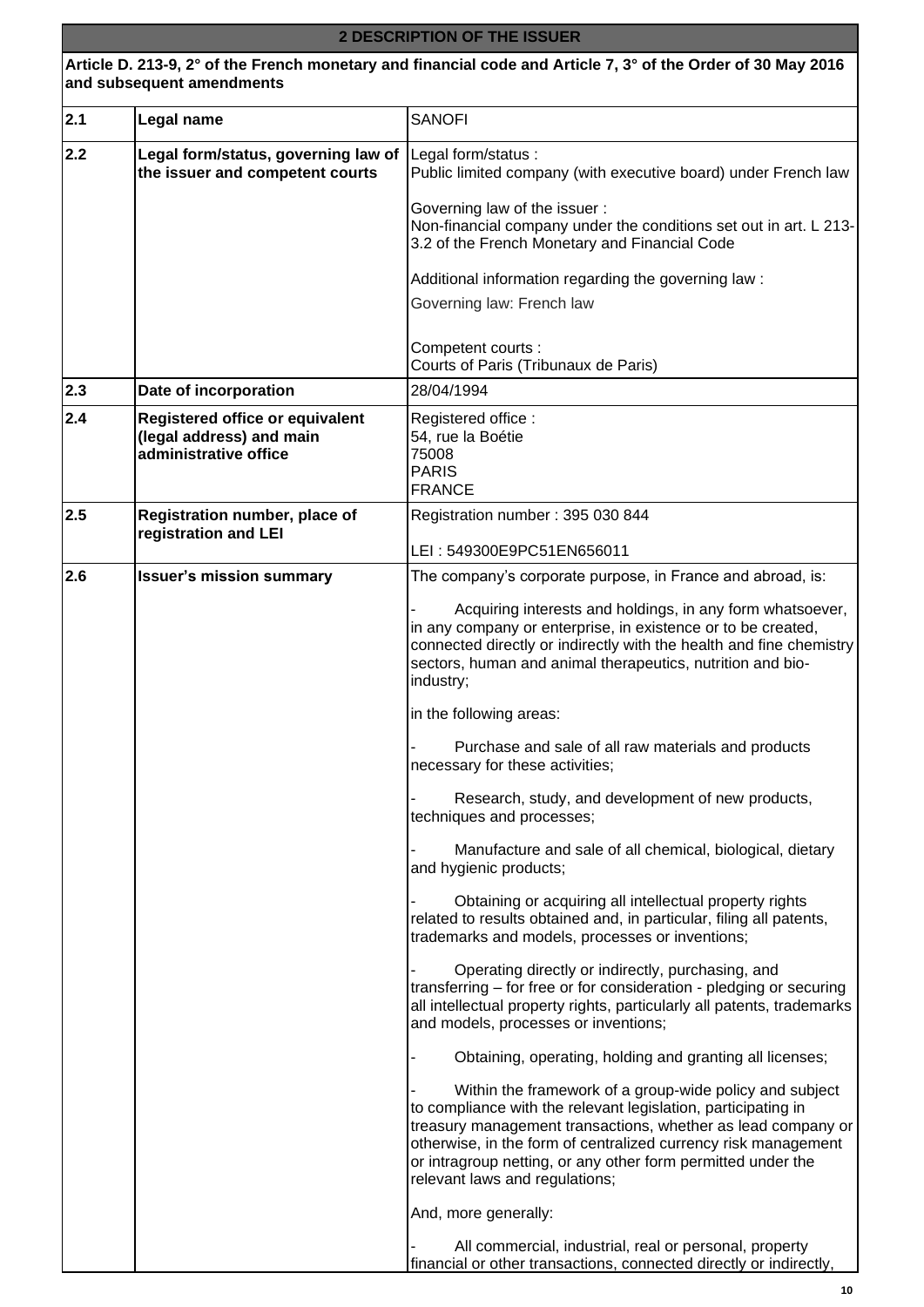# **2 DESCRIPTION OF THE ISSUER**

**Article D. 213-9, 2° of the French monetary and financial code and Article 7, 3° of the Order of 30 May 2016 and subsequent amendments**

| 2.1 | Legal name                                                                                  | <b>SANOFI</b>                                                                                                                                                                                                                                                                                                                                                |
|-----|---------------------------------------------------------------------------------------------|--------------------------------------------------------------------------------------------------------------------------------------------------------------------------------------------------------------------------------------------------------------------------------------------------------------------------------------------------------------|
| 2.2 | Legal form/status, governing law of<br>the issuer and competent courts                      | Legal form/status :<br>Public limited company (with executive board) under French law                                                                                                                                                                                                                                                                        |
|     |                                                                                             | Governing law of the issuer:<br>Non-financial company under the conditions set out in art. L 213-<br>3.2 of the French Monetary and Financial Code                                                                                                                                                                                                           |
|     |                                                                                             | Additional information regarding the governing law:                                                                                                                                                                                                                                                                                                          |
|     |                                                                                             | Governing law: French law                                                                                                                                                                                                                                                                                                                                    |
|     |                                                                                             | Competent courts :<br>Courts of Paris (Tribunaux de Paris)                                                                                                                                                                                                                                                                                                   |
| 2.3 | Date of incorporation                                                                       | 28/04/1994                                                                                                                                                                                                                                                                                                                                                   |
| 2.4 | <b>Registered office or equivalent</b><br>(legal address) and main<br>administrative office | Registered office:<br>54, rue la Boétie<br>75008<br><b>PARIS</b><br><b>FRANCE</b>                                                                                                                                                                                                                                                                            |
| 2.5 | Registration number, place of<br>registration and LEI                                       | Registration number: 395 030 844                                                                                                                                                                                                                                                                                                                             |
|     |                                                                                             | LEI: 549300E9PC51EN656011                                                                                                                                                                                                                                                                                                                                    |
| 2.6 | <b>Issuer's mission summary</b>                                                             | The company's corporate purpose, in France and abroad, is:                                                                                                                                                                                                                                                                                                   |
|     |                                                                                             | Acquiring interests and holdings, in any form whatsoever,<br>in any company or enterprise, in existence or to be created,<br>connected directly or indirectly with the health and fine chemistry<br>sectors, human and animal therapeutics, nutrition and bio-<br>industry;                                                                                  |
|     |                                                                                             | in the following areas:                                                                                                                                                                                                                                                                                                                                      |
|     |                                                                                             | Purchase and sale of all raw materials and products<br>necessary for these activities;                                                                                                                                                                                                                                                                       |
|     |                                                                                             | Research, study, and development of new products,<br>techniques and processes;                                                                                                                                                                                                                                                                               |
|     |                                                                                             | Manufacture and sale of all chemical, biological, dietary<br>and hygienic products;                                                                                                                                                                                                                                                                          |
|     |                                                                                             | Obtaining or acquiring all intellectual property rights<br>related to results obtained and, in particular, filing all patents,<br>trademarks and models, processes or inventions;                                                                                                                                                                            |
|     |                                                                                             | Operating directly or indirectly, purchasing, and<br>transferring – for free or for consideration - pledging or securing<br>all intellectual property rights, particularly all patents, trademarks<br>and models, processes or inventions;                                                                                                                   |
|     |                                                                                             | Obtaining, operating, holding and granting all licenses;                                                                                                                                                                                                                                                                                                     |
|     |                                                                                             | Within the framework of a group-wide policy and subject<br>to compliance with the relevant legislation, participating in<br>treasury management transactions, whether as lead company or<br>otherwise, in the form of centralized currency risk management<br>or intragroup netting, or any other form permitted under the<br>relevant laws and regulations; |
|     |                                                                                             | And, more generally:                                                                                                                                                                                                                                                                                                                                         |
|     |                                                                                             | All commercial, industrial, real or personal, property<br>financial or other transactions, connected directly or indirectly,                                                                                                                                                                                                                                 |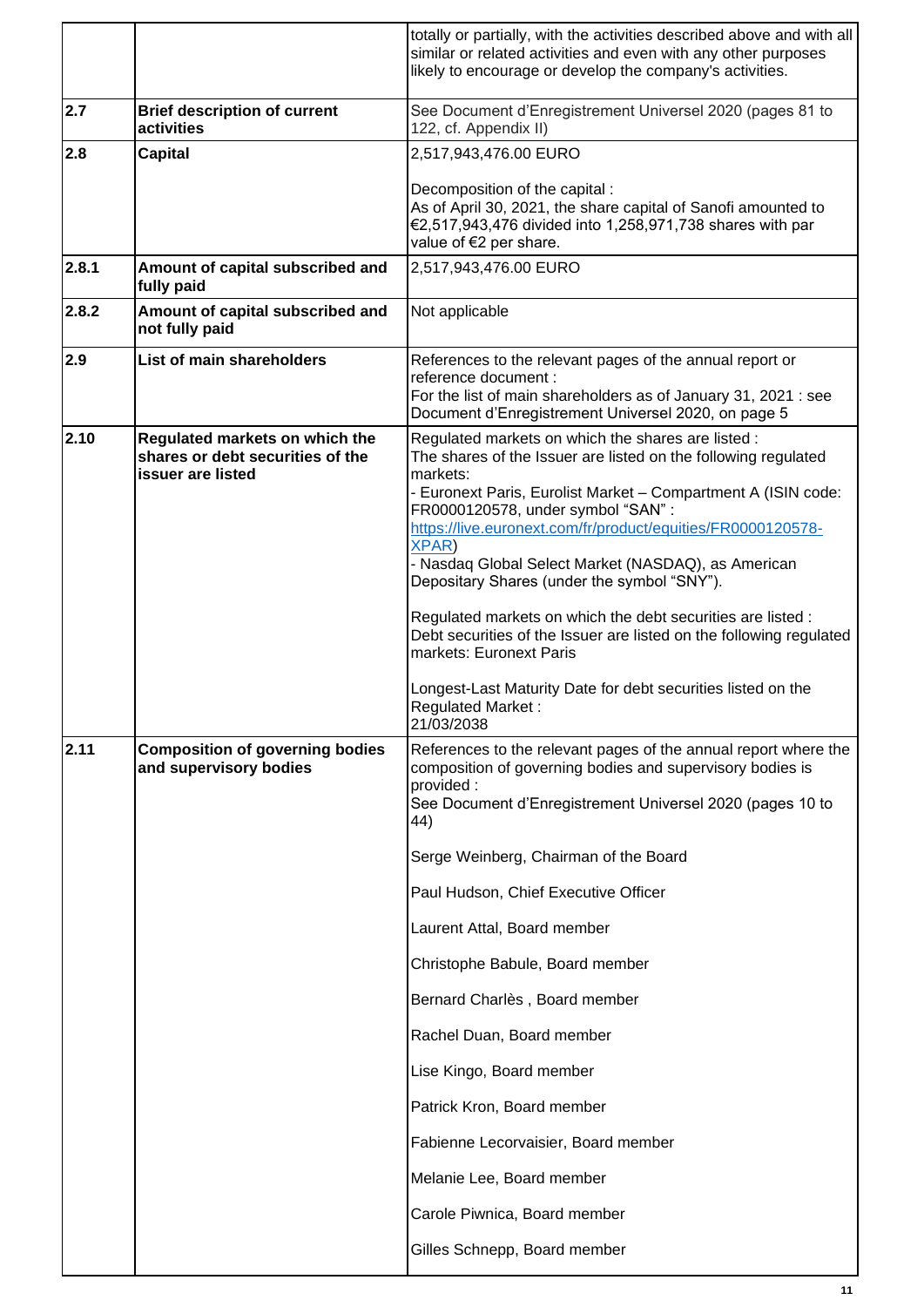|       |                                                                                         | totally or partially, with the activities described above and with all<br>similar or related activities and even with any other purposes<br>likely to encourage or develop the company's activities.                                                                                                                                                                                                                        |
|-------|-----------------------------------------------------------------------------------------|-----------------------------------------------------------------------------------------------------------------------------------------------------------------------------------------------------------------------------------------------------------------------------------------------------------------------------------------------------------------------------------------------------------------------------|
| 2.7   | <b>Brief description of current</b><br>activities                                       | See Document d'Enregistrement Universel 2020 (pages 81 to<br>122, cf. Appendix II)                                                                                                                                                                                                                                                                                                                                          |
| 2.8   | <b>Capital</b>                                                                          | 2,517,943,476.00 EURO                                                                                                                                                                                                                                                                                                                                                                                                       |
|       |                                                                                         | Decomposition of the capital :<br>As of April 30, 2021, the share capital of Sanofi amounted to<br>€2,517,943,476 divided into 1,258,971,738 shares with par<br>value of €2 per share.                                                                                                                                                                                                                                      |
| 2.8.1 | Amount of capital subscribed and<br>fully paid                                          | 2,517,943,476.00 EURO                                                                                                                                                                                                                                                                                                                                                                                                       |
| 2.8.2 | Amount of capital subscribed and<br>not fully paid                                      | Not applicable                                                                                                                                                                                                                                                                                                                                                                                                              |
| 2.9   | List of main shareholders                                                               | References to the relevant pages of the annual report or<br>reference document :<br>For the list of main shareholders as of January 31, 2021 : see<br>Document d'Enregistrement Universel 2020, on page 5                                                                                                                                                                                                                   |
| 2.10  | Regulated markets on which the<br>shares or debt securities of the<br>issuer are listed | Regulated markets on which the shares are listed :<br>The shares of the Issuer are listed on the following regulated<br>markets:<br>- Euronext Paris, Eurolist Market - Compartment A (ISIN code:<br>FR0000120578, under symbol "SAN":<br>https://live.euronext.com/fr/product/equities/FR0000120578-<br><b>XPAR)</b><br>- Nasdaq Global Select Market (NASDAQ), as American<br>Depositary Shares (under the symbol "SNY"). |
|       |                                                                                         | Regulated markets on which the debt securities are listed :<br>Debt securities of the Issuer are listed on the following regulated<br>markets: Euronext Paris                                                                                                                                                                                                                                                               |
|       |                                                                                         | Longest-Last Maturity Date for debt securities listed on the<br><b>Regulated Market:</b><br>21/03/2038                                                                                                                                                                                                                                                                                                                      |
| 2.11  | <b>Composition of governing bodies</b><br>and supervisory bodies                        | References to the relevant pages of the annual report where the<br>composition of governing bodies and supervisory bodies is<br>provided:<br>See Document d'Enregistrement Universel 2020 (pages 10 to<br>44)                                                                                                                                                                                                               |
|       |                                                                                         | Serge Weinberg, Chairman of the Board                                                                                                                                                                                                                                                                                                                                                                                       |
|       |                                                                                         | Paul Hudson, Chief Executive Officer                                                                                                                                                                                                                                                                                                                                                                                        |
|       |                                                                                         | Laurent Attal, Board member                                                                                                                                                                                                                                                                                                                                                                                                 |
|       |                                                                                         | Christophe Babule, Board member                                                                                                                                                                                                                                                                                                                                                                                             |
|       |                                                                                         | Bernard Charlès, Board member                                                                                                                                                                                                                                                                                                                                                                                               |
|       |                                                                                         | Rachel Duan, Board member                                                                                                                                                                                                                                                                                                                                                                                                   |
|       |                                                                                         | Lise Kingo, Board member                                                                                                                                                                                                                                                                                                                                                                                                    |
|       |                                                                                         | Patrick Kron, Board member                                                                                                                                                                                                                                                                                                                                                                                                  |
|       |                                                                                         | Fabienne Lecorvaisier, Board member                                                                                                                                                                                                                                                                                                                                                                                         |
|       |                                                                                         | Melanie Lee, Board member                                                                                                                                                                                                                                                                                                                                                                                                   |
|       |                                                                                         | Carole Piwnica, Board member                                                                                                                                                                                                                                                                                                                                                                                                |
|       |                                                                                         | Gilles Schnepp, Board member                                                                                                                                                                                                                                                                                                                                                                                                |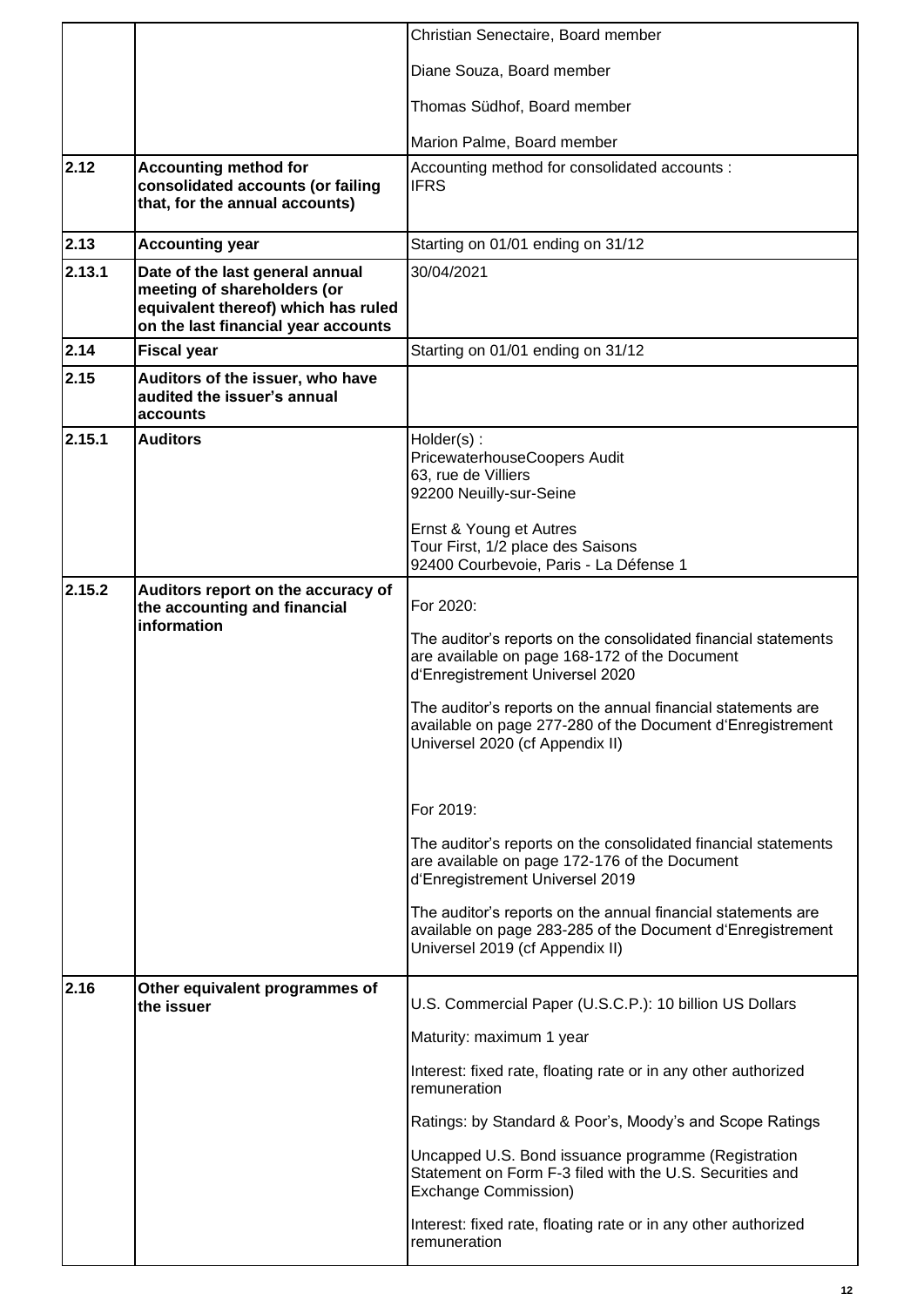|        |                                                                                                                                              | Christian Senectaire, Board member                                                                                                                                                                                                                                                                                                                                                                                                                                                                                                                                                                                                                                   |
|--------|----------------------------------------------------------------------------------------------------------------------------------------------|----------------------------------------------------------------------------------------------------------------------------------------------------------------------------------------------------------------------------------------------------------------------------------------------------------------------------------------------------------------------------------------------------------------------------------------------------------------------------------------------------------------------------------------------------------------------------------------------------------------------------------------------------------------------|
|        |                                                                                                                                              | Diane Souza, Board member                                                                                                                                                                                                                                                                                                                                                                                                                                                                                                                                                                                                                                            |
|        |                                                                                                                                              | Thomas Südhof, Board member                                                                                                                                                                                                                                                                                                                                                                                                                                                                                                                                                                                                                                          |
|        |                                                                                                                                              | Marion Palme, Board member                                                                                                                                                                                                                                                                                                                                                                                                                                                                                                                                                                                                                                           |
| 2.12   | <b>Accounting method for</b><br>consolidated accounts (or failing<br>that, for the annual accounts)                                          | Accounting method for consolidated accounts :<br><b>IFRS</b>                                                                                                                                                                                                                                                                                                                                                                                                                                                                                                                                                                                                         |
| 2.13   | <b>Accounting year</b>                                                                                                                       | Starting on 01/01 ending on 31/12                                                                                                                                                                                                                                                                                                                                                                                                                                                                                                                                                                                                                                    |
| 2.13.1 | Date of the last general annual<br>meeting of shareholders (or<br>equivalent thereof) which has ruled<br>on the last financial year accounts | 30/04/2021                                                                                                                                                                                                                                                                                                                                                                                                                                                                                                                                                                                                                                                           |
| 2.14   | <b>Fiscal year</b>                                                                                                                           | Starting on 01/01 ending on 31/12                                                                                                                                                                                                                                                                                                                                                                                                                                                                                                                                                                                                                                    |
| 2.15   | Auditors of the issuer, who have<br>audited the issuer's annual<br>accounts                                                                  |                                                                                                                                                                                                                                                                                                                                                                                                                                                                                                                                                                                                                                                                      |
| 2.15.1 | <b>Auditors</b>                                                                                                                              | Holder(s):<br>PricewaterhouseCoopers Audit<br>63, rue de Villiers<br>92200 Neuilly-sur-Seine<br>Ernst & Young et Autres<br>Tour First, 1/2 place des Saisons<br>92400 Courbevoie, Paris - La Défense 1                                                                                                                                                                                                                                                                                                                                                                                                                                                               |
| 2.15.2 | Auditors report on the accuracy of<br>the accounting and financial<br>information                                                            | For 2020:<br>The auditor's reports on the consolidated financial statements<br>are available on page 168-172 of the Document<br>d'Enregistrement Universel 2020<br>The auditor's reports on the annual financial statements are<br>available on page 277-280 of the Document d'Enregistrement<br>Universel 2020 (cf Appendix II)<br>For 2019:<br>The auditor's reports on the consolidated financial statements<br>are available on page 172-176 of the Document<br>d'Enregistrement Universel 2019<br>The auditor's reports on the annual financial statements are<br>available on page 283-285 of the Document d'Enregistrement<br>Universel 2019 (cf Appendix II) |
| 2.16   | Other equivalent programmes of<br>the issuer                                                                                                 | U.S. Commercial Paper (U.S.C.P.): 10 billion US Dollars<br>Maturity: maximum 1 year<br>Interest: fixed rate, floating rate or in any other authorized<br>remuneration<br>Ratings: by Standard & Poor's, Moody's and Scope Ratings<br>Uncapped U.S. Bond issuance programme (Registration<br>Statement on Form F-3 filed with the U.S. Securities and<br>Exchange Commission)<br>Interest: fixed rate, floating rate or in any other authorized<br>remuneration                                                                                                                                                                                                       |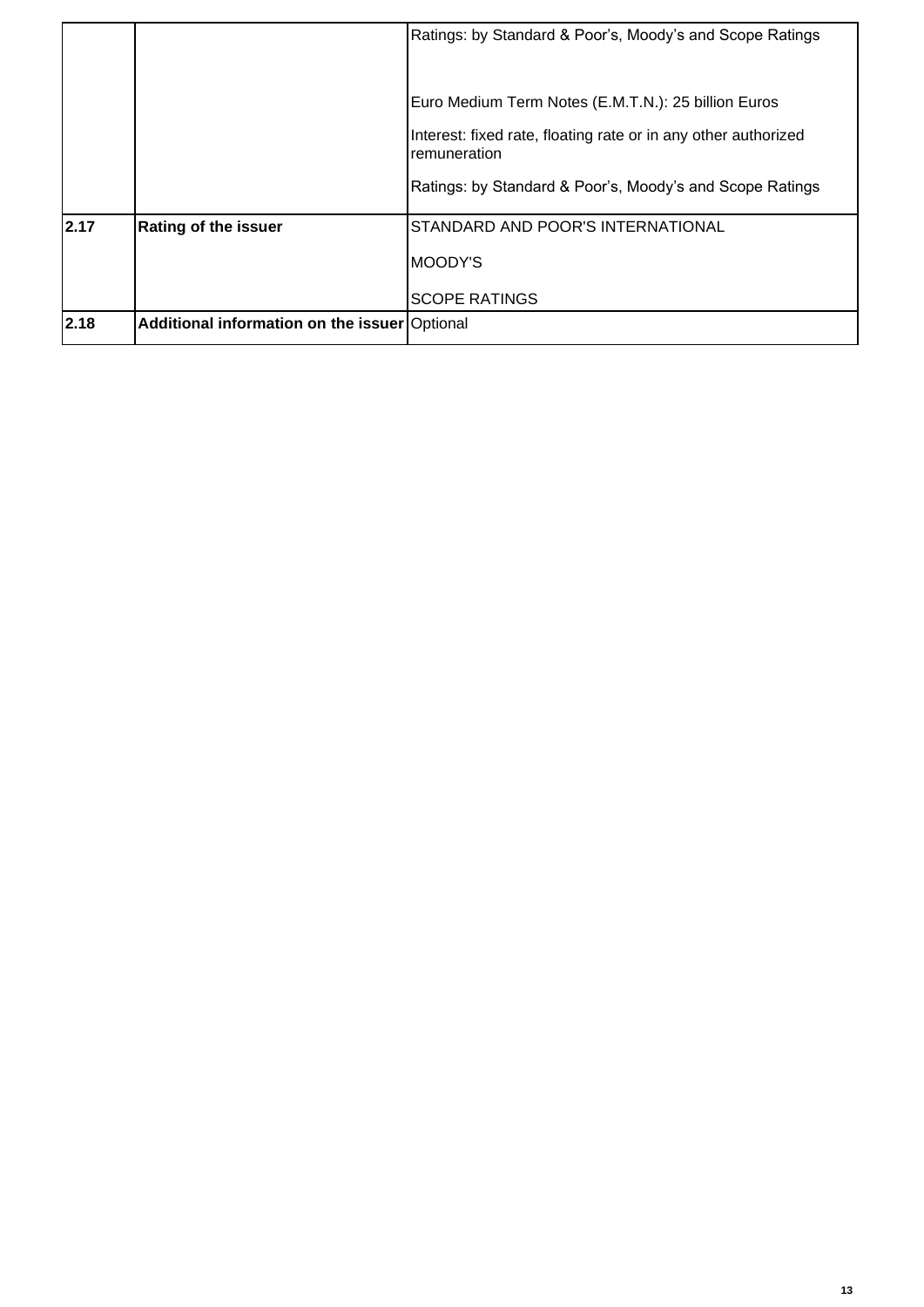|      |                                               | Ratings: by Standard & Poor's, Moody's and Scope Ratings                       |
|------|-----------------------------------------------|--------------------------------------------------------------------------------|
|      |                                               | Euro Medium Term Notes (E.M.T.N.): 25 billion Euros                            |
|      |                                               | Interest: fixed rate, floating rate or in any other authorized<br>remuneration |
|      |                                               | Ratings: by Standard & Poor's, Moody's and Scope Ratings                       |
| 2.17 | <b>Rating of the issuer</b>                   | STANDARD AND POOR'S INTERNATIONAL                                              |
|      |                                               | MOODY'S                                                                        |
|      |                                               | <b>SCOPE RATINGS</b>                                                           |
| 2.18 | Additional information on the issuer Optional |                                                                                |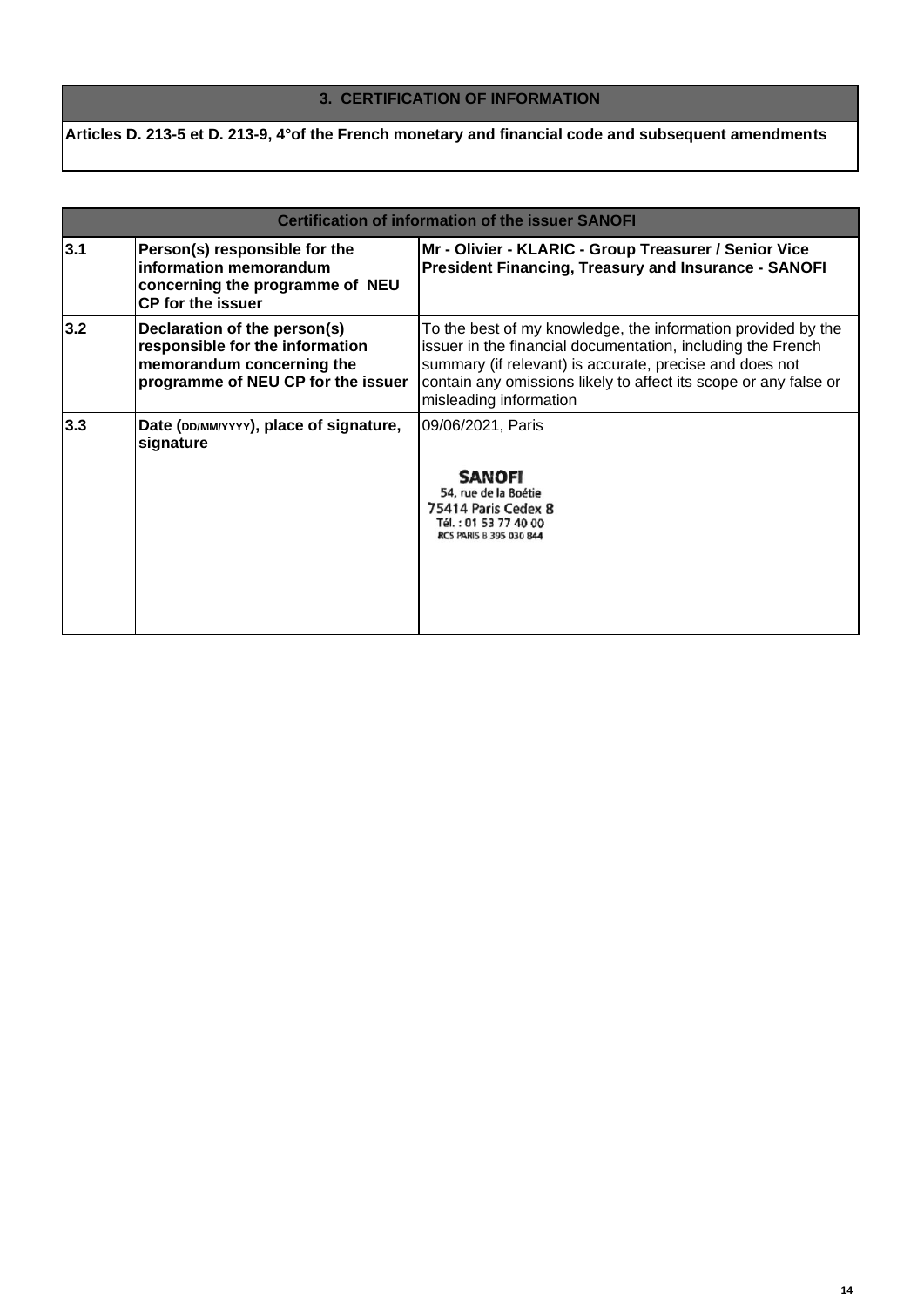## **3. CERTIFICATION OF INFORMATION**

**Articles D. 213-5 et D. 213-9, 4°of the French monetary and financial code and subsequent amendments**

|     | <b>Certification of information of the issuer SANOFI</b>                                                                           |                                                                                                                                                                                                                                                                                      |  |
|-----|------------------------------------------------------------------------------------------------------------------------------------|--------------------------------------------------------------------------------------------------------------------------------------------------------------------------------------------------------------------------------------------------------------------------------------|--|
| 3.1 | Person(s) responsible for the<br>information memorandum<br>concerning the programme of NEU<br><b>CP for the issuer</b>             | Mr - Olivier - KLARIC - Group Treasurer / Senior Vice<br><b>President Financing, Treasury and Insurance - SANOFI</b>                                                                                                                                                                 |  |
| 3.2 | Declaration of the person(s)<br>responsible for the information<br>memorandum concerning the<br>programme of NEU CP for the issuer | To the best of my knowledge, the information provided by the<br>issuer in the financial documentation, including the French<br>summary (if relevant) is accurate, precise and does not<br>contain any omissions likely to affect its scope or any false or<br>misleading information |  |
| 3.3 | Date (DD/MM/YYYY), place of signature,<br>signature                                                                                | 09/06/2021, Paris<br><b>SANOFI</b><br>54, rue de la Boétie<br>75414 Paris Cedex 8<br>Tél.: 01 53 77 40 00<br><b>RCS PARIS B 395 030 844</b>                                                                                                                                          |  |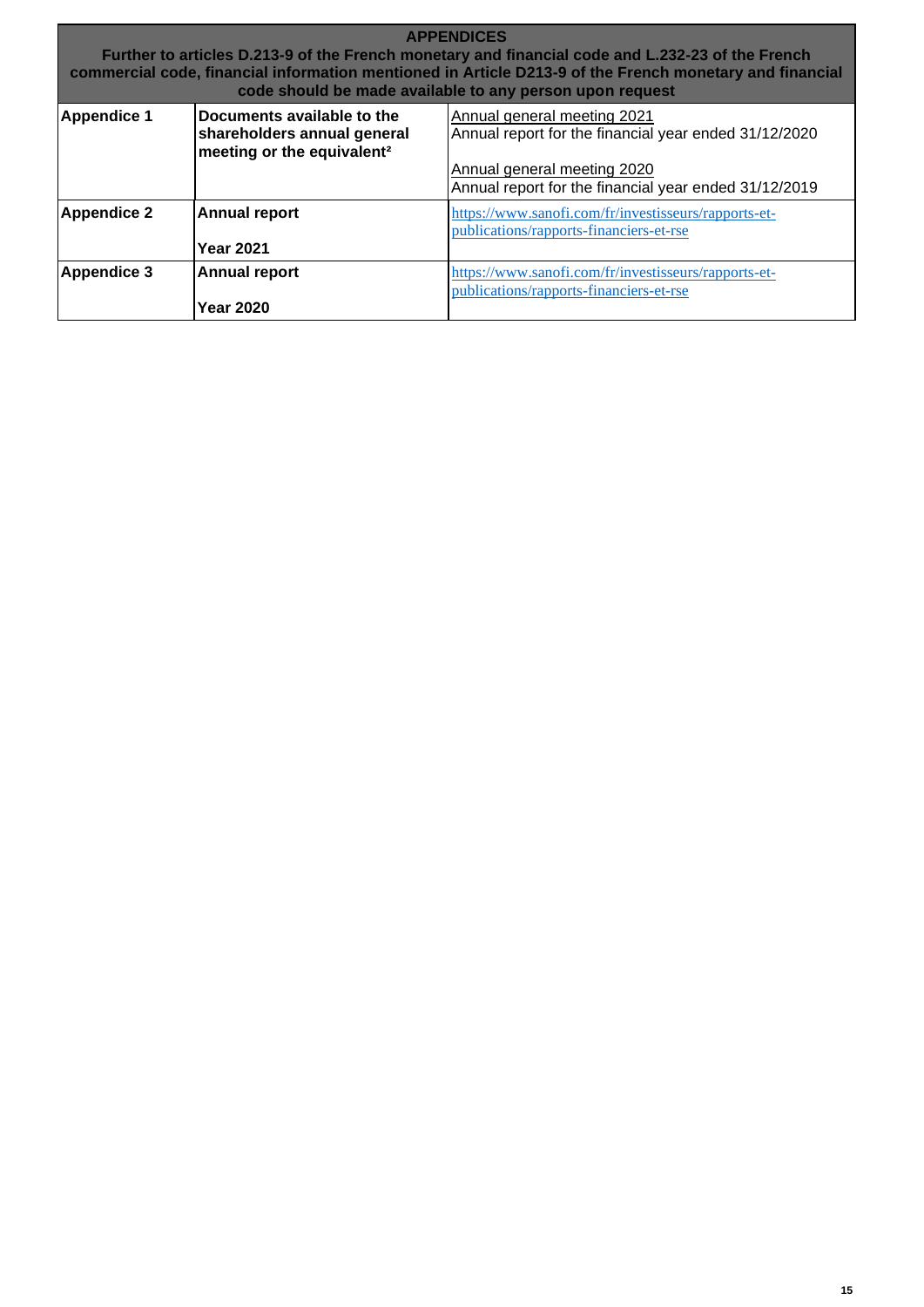| <b>APPENDICES</b><br>Further to articles D.213-9 of the French monetary and financial code and L.232-23 of the French<br>commercial code, financial information mentioned in Article D213-9 of the French monetary and financial<br>code should be made available to any person upon request |                                                                                                     |                                                                                                                                                                              |
|----------------------------------------------------------------------------------------------------------------------------------------------------------------------------------------------------------------------------------------------------------------------------------------------|-----------------------------------------------------------------------------------------------------|------------------------------------------------------------------------------------------------------------------------------------------------------------------------------|
| <b>Appendice 1</b>                                                                                                                                                                                                                                                                           | Documents available to the<br>shareholders annual general<br>meeting or the equivalent <sup>2</sup> | Annual general meeting 2021<br>Annual report for the financial year ended 31/12/2020<br>Annual general meeting 2020<br>Annual report for the financial year ended 31/12/2019 |
| <b>Appendice 2</b>                                                                                                                                                                                                                                                                           | <b>Annual report</b><br><b>Year 2021</b>                                                            | https://www.sanofi.com/fr/investisseurs/rapports-et-<br>publications/rapports-financiers-et-rse                                                                              |
| <b>Appendice 3</b>                                                                                                                                                                                                                                                                           | <b>Annual report</b><br><b>Year 2020</b>                                                            | https://www.sanofi.com/fr/investisseurs/rapports-et-<br>publications/rapports-financiers-et-rse                                                                              |